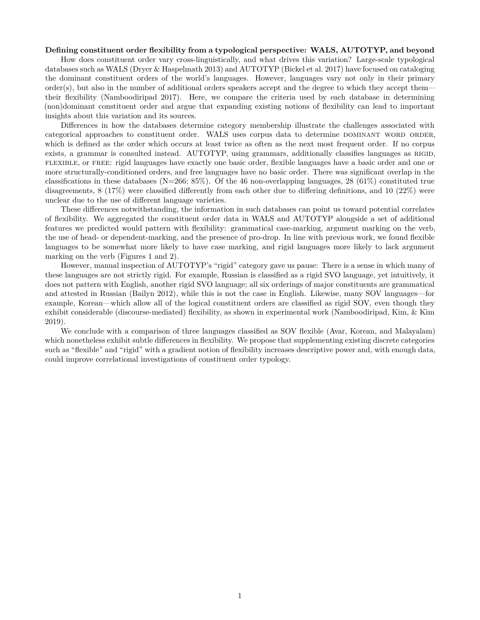## **Defining constituent order flexibility from a typological perspective: WALS, AUTOTYP, and beyond**

How does constituent order vary cross-linguistically, and what drives this variation? Large-scale typological databases such as WALS (Dryer & Haspelmath 2013) and AUTOTYP (Bickel et al. 2017) have focused on cataloging the dominant constituent orders of the world's languages. However, languages vary not only in their primary  $order(s)$ , but also in the number of additional orders speakers accept and the degree to which they accept them their flexibility (Namboodiripad 2017). Here, we compare the criteria used by each database in determining (non)dominant constituent order and argue that expanding existing notions of flexibility can lead to important insights about this variation and its sources.

Differences in how the databases determine category membership illustrate the challenges associated with categorical approaches to constituent order. WALS uses corpus data to determine DOMINANT WORD ORDER, which is defined as the order which occurs at least twice as often as the next most frequent order. If no corpus exists, a grammar is consulted instead. AUTOTYP, using grammars, additionally classifies languages as RIGID, flexible, or free: rigid languages have exactly one basic order, flexible languages have a basic order and one or more structurally-conditioned orders, and free languages have no basic order. There was significant overlap in the classifications in these databases (N=266; 85%). Of the 46 non-overlapping languages, 28 (61%) constituted true disagreements, 8 (17%) were classified differently from each other due to differing definitions, and 10 (22%) were unclear due to the use of different language varieties.

These differences notwithstanding, the information in such databases can point us toward potential correlates of flexibility. We aggregated the constituent order data in WALS and AUTOTYP alongside a set of additional features we predicted would pattern with flexibility: grammatical case-marking, argument marking on the verb, the use of head- or dependent-marking, and the presence of pro-drop. In line with previous work, we found flexible languages to be somewhat more likely to have case marking, and rigid languages more likely to lack argument marking on the verb (Figures [1](#page-1-0) and [2\)](#page-1-1).

However, manual inspection of AUTOTYP's "rigid" category gave us pause: There is a sense in which many of these languages are not strictly rigid. For example, Russian is classified as a rigid SVO language, yet intuitively, it does not pattern with English, another rigid SVO language; all six orderings of major constituents are grammatical and attested in Russian (Bailyn 2012), while this is not the case in English. Likewise, many SOV languages—for example, Korean—which allow all of the logical constituent orders are classified as rigid SOV, even though they exhibit considerable (discourse-mediated) flexibility, as shown in experimental work (Namboodiripad, Kim, & Kim 2019).

We conclude with a comparison of three languages classified as SOV flexible (Avar, Korean, and Malayalam) which nonetheless exhibit subtle differences in flexibility. We propose that supplementing existing discrete categories such as "flexible" and "rigid" with a gradient notion of flexibility increases descriptive power and, with enough data, could improve correlational investigations of constituent order typology.